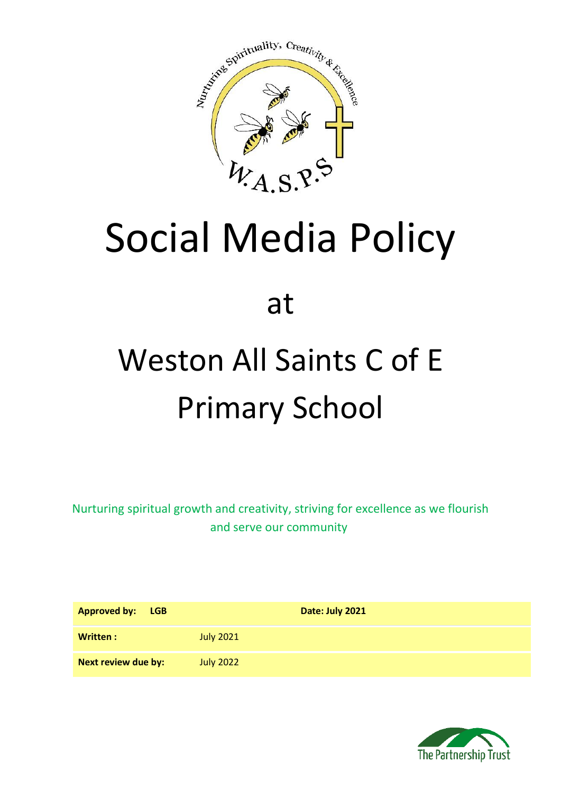

# Social Media Policy

at

## Weston All Saints C of E Primary School

Nurturing spiritual growth and creativity, striving for excellence as we flourish and serve our community

| <b>Approved by:</b><br><b>LGB</b> | Date: July 2021  |
|-----------------------------------|------------------|
| Written:                          | <b>July 2021</b> |
| Next review due by:               | <b>July 2022</b> |

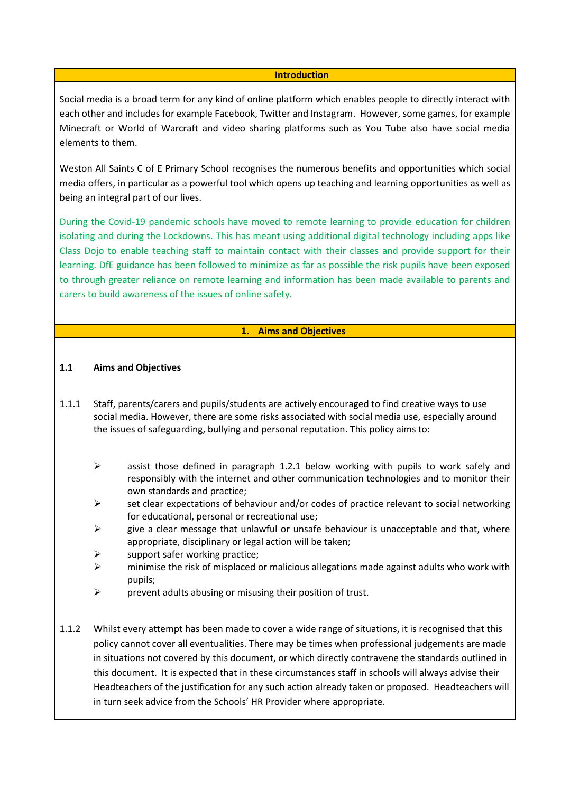#### **Introduction**

Social media is a broad term for any kind of online platform which enables people to directly interact with each other and includes for example Facebook, Twitter and Instagram. However, some games, for example Minecraft or World of Warcraft and video sharing platforms such as You Tube also have social media elements to them.

Weston All Saints C of E Primary School recognises the numerous benefits and opportunities which social media offers, in particular as a powerful tool which opens up teaching and learning opportunities as well as being an integral part of our lives.

During the Covid-19 pandemic schools have moved to remote learning to provide education for children isolating and during the Lockdowns. This has meant using additional digital technology including apps like Class Dojo to enable teaching staff to maintain contact with their classes and provide support for their learning. DfE guidance has been followed to minimize as far as possible the risk pupils have been exposed to through greater reliance on remote learning and information has been made available to parents and carers to build awareness of the issues of online safety.

#### **1. Aims and Objectives**

#### **1.1 Aims and Objectives**

- 1.1.1 Staff, parents/carers and pupils/students are actively encouraged to find creative ways to use social media. However, there are some risks associated with social media use, especially around the issues of safeguarding, bullying and personal reputation. This policy aims to:
	- $\triangleright$  assist those defined in paragraph 1.2.1 below working with pupils to work safely and responsibly with the internet and other communication technologies and to monitor their own standards and practice;
	- $\triangleright$  set clear expectations of behaviour and/or codes of practice relevant to social networking for educational, personal or recreational use;
	- $\triangleright$  give a clear message that unlawful or unsafe behaviour is unacceptable and that, where appropriate, disciplinary or legal action will be taken;
	- support safer working practice;
	- $\triangleright$  minimise the risk of misplaced or malicious allegations made against adults who work with pupils;
	- $\triangleright$  prevent adults abusing or misusing their position of trust.
- 1.1.2 Whilst every attempt has been made to cover a wide range of situations, it is recognised that this policy cannot cover all eventualities. There may be times when professional judgements are made in situations not covered by this document, or which directly contravene the standards outlined in this document. It is expected that in these circumstances staff in schools will always advise their Headteachers of the justification for any such action already taken or proposed. Headteachers will in turn seek advice from the Schools' HR Provider where appropriate.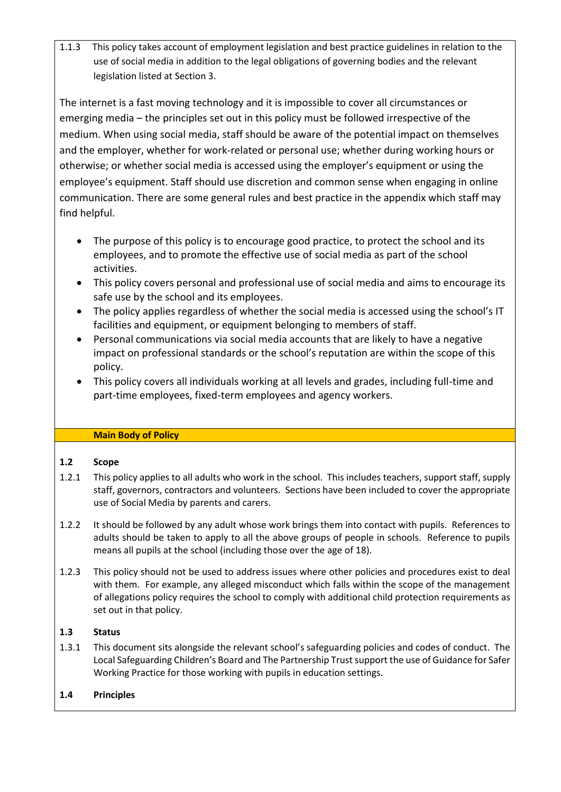1.1.3 This policy takes account of employment legislation and best practice guidelines in relation to the use of social media in addition to the legal obligations of governing bodies and the relevant legislation listed at Section 3.

The internet is a fast moving technology and it is impossible to cover all circumstances or emerging media – the principles set out in this policy must be followed irrespective of the medium. When using social media, staff should be aware of the potential impact on themselves and the employer, whether for work-related or personal use; whether during working hours or otherwise; or whether social media is accessed using the employer's equipment or using the employee's equipment. Staff should use discretion and common sense when engaging in online communication. There are some general rules and best practice in the appendix which staff may find helpful.

- The purpose of this policy is to encourage good practice, to protect the school and its employees, and to promote the effective use of social media as part of the school activities.
- This policy covers personal and professional use of social media and aims to encourage its safe use by the school and its employees.
- The policy applies regardless of whether the social media is accessed using the school's IT facilities and equipment, or equipment belonging to members of staff.
- Personal communications via social media accounts that are likely to have a negative impact on professional standards or the school's reputation are within the scope of this policy.
- This policy covers all individuals working at all levels and grades, including full-time and part-time employees, fixed-term employees and agency workers.

## **Main Body of Policy**

## **1.2 Scope**

- 1.2.1 This policy applies to all adults who work in the school. This includes teachers, support staff, supply staff, governors, contractors and volunteers. Sections have been included to cover the appropriate use of Social Media by parents and carers.
- 1.2.2 It should be followed by any adult whose work brings them into contact with pupils. References to adults should be taken to apply to all the above groups of people in schools. Reference to pupils means all pupils at the school (including those over the age of 18).
- 1.2.3 This policy should not be used to address issues where other policies and procedures exist to deal with them. For example, any alleged misconduct which falls within the scope of the management of allegations policy requires the school to comply with additional child protection requirements as set out in that policy.

## **1.3 Status**

1.3.1 This document sits alongside the relevant school's safeguarding policies and codes of conduct. The Local Safeguarding Children's Board and The Partnership Trust support the use of Guidance for Safer Working Practice for those working with pupils in education settings.

## **1.4 Principles**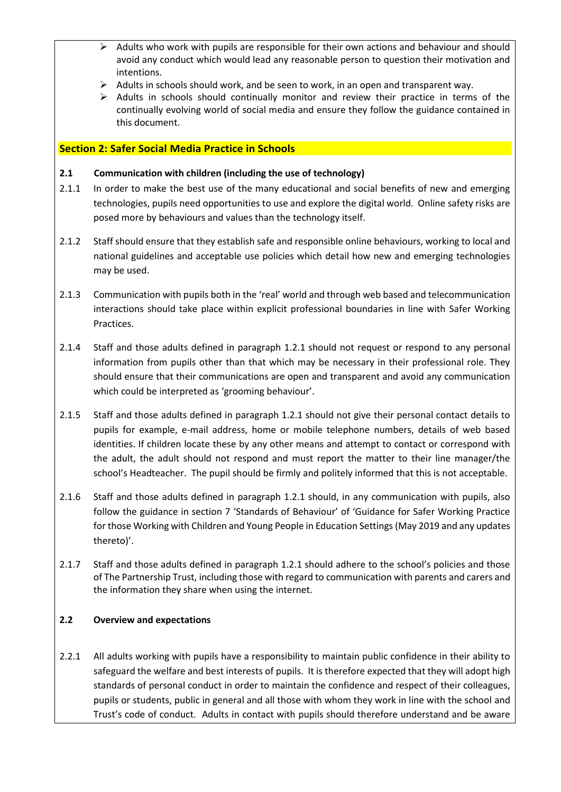- $\triangleright$  Adults who work with pupils are responsible for their own actions and behaviour and should avoid any conduct which would lead any reasonable person to question their motivation and intentions.
- $\triangleright$  Adults in schools should work, and be seen to work, in an open and transparent way.
- ➢ Adults in schools should continually monitor and review their practice in terms of the continually evolving world of social media and ensure they follow the guidance contained in this document.

#### **Section 2: Safer Social Media Practice in Schools**

#### **2.1 Communication with children (including the use of technology)**

- 2.1.1 In order to make the best use of the many educational and social benefits of new and emerging technologies, pupils need opportunities to use and explore the digital world. Online safety risks are posed more by behaviours and values than the technology itself.
- 2.1.2 Staff should ensure that they establish safe and responsible online behaviours, working to local and national guidelines and acceptable use policies which detail how new and emerging technologies may be used.
- 2.1.3 Communication with pupils both in the 'real' world and through web based and telecommunication interactions should take place within explicit professional boundaries in line with Safer Working Practices.
- 2.1.4 Staff and those adults defined in paragraph 1.2.1 should not request or respond to any personal information from pupils other than that which may be necessary in their professional role. They should ensure that their communications are open and transparent and avoid any communication which could be interpreted as 'grooming behaviour'.
- 2.1.5 Staff and those adults defined in paragraph 1.2.1 should not give their personal contact details to pupils for example, e-mail address, home or mobile telephone numbers, details of web based identities. If children locate these by any other means and attempt to contact or correspond with the adult, the adult should not respond and must report the matter to their line manager/the school's Headteacher. The pupil should be firmly and politely informed that this is not acceptable.
- 2.1.6 Staff and those adults defined in paragraph 1.2.1 should, in any communication with pupils, also follow the guidance in section 7 'Standards of Behaviour' of 'Guidance for Safer Working Practice for those Working with Children and Young People in Education Settings (May 2019 and any updates thereto)'.
- 2.1.7 Staff and those adults defined in paragraph 1.2.1 should adhere to the school's policies and those of The Partnership Trust, including those with regard to communication with parents and carers and the information they share when using the internet.

#### **2.2 Overview and expectations**

2.2.1 All adults working with pupils have a responsibility to maintain public confidence in their ability to safeguard the welfare and best interests of pupils. It is therefore expected that they will adopt high standards of personal conduct in order to maintain the confidence and respect of their colleagues, pupils or students, public in general and all those with whom they work in line with the school and Trust's code of conduct. Adults in contact with pupils should therefore understand and be aware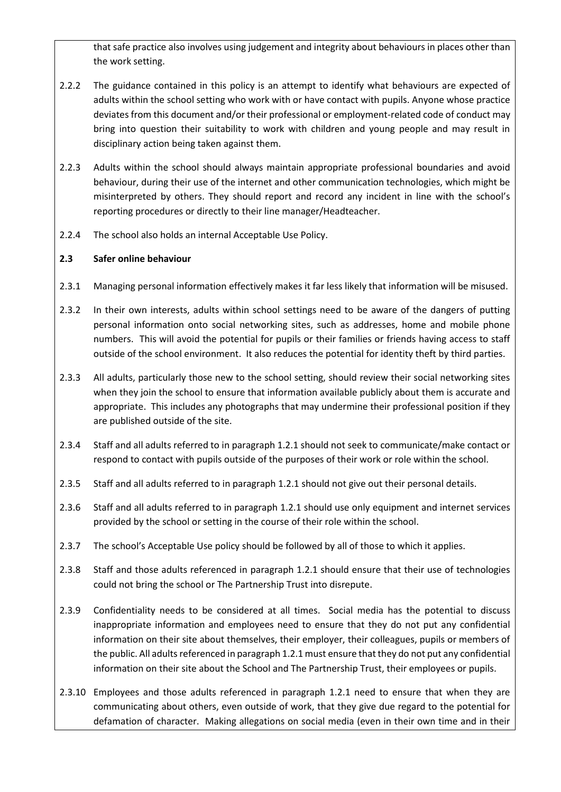that safe practice also involves using judgement and integrity about behaviours in places other than the work setting.

- 2.2.2 The guidance contained in this policy is an attempt to identify what behaviours are expected of adults within the school setting who work with or have contact with pupils. Anyone whose practice deviates from this document and/or their professional or employment-related code of conduct may bring into question their suitability to work with children and young people and may result in disciplinary action being taken against them.
- 2.2.3 Adults within the school should always maintain appropriate professional boundaries and avoid behaviour, during their use of the internet and other communication technologies, which might be misinterpreted by others. They should report and record any incident in line with the school's reporting procedures or directly to their line manager/Headteacher.
- 2.2.4 The school also holds an internal Acceptable Use Policy.

## **2.3 Safer online behaviour**

- 2.3.1 Managing personal information effectively makes it far less likely that information will be misused.
- 2.3.2 In their own interests, adults within school settings need to be aware of the dangers of putting personal information onto social networking sites, such as addresses, home and mobile phone numbers. This will avoid the potential for pupils or their families or friends having access to staff outside of the school environment. It also reduces the potential for identity theft by third parties.
- 2.3.3 All adults, particularly those new to the school setting, should review their social networking sites when they join the school to ensure that information available publicly about them is accurate and appropriate. This includes any photographs that may undermine their professional position if they are published outside of the site.
- 2.3.4 Staff and all adults referred to in paragraph 1.2.1 should not seek to communicate/make contact or respond to contact with pupils outside of the purposes of their work or role within the school.
- 2.3.5 Staff and all adults referred to in paragraph 1.2.1 should not give out their personal details.
- 2.3.6 Staff and all adults referred to in paragraph 1.2.1 should use only equipment and internet services provided by the school or setting in the course of their role within the school.
- 2.3.7 The school's Acceptable Use policy should be followed by all of those to which it applies.
- 2.3.8 Staff and those adults referenced in paragraph 1.2.1 should ensure that their use of technologies could not bring the school or The Partnership Trust into disrepute.
- 2.3.9 Confidentiality needs to be considered at all times. Social media has the potential to discuss inappropriate information and employees need to ensure that they do not put any confidential information on their site about themselves, their employer, their colleagues, pupils or members of the public. All adults referenced in paragraph 1.2.1 must ensure that they do not put any confidential information on their site about the School and The Partnership Trust, their employees or pupils.
- 2.3.10 Employees and those adults referenced in paragraph 1.2.1 need to ensure that when they are communicating about others, even outside of work, that they give due regard to the potential for defamation of character. Making allegations on social media (even in their own time and in their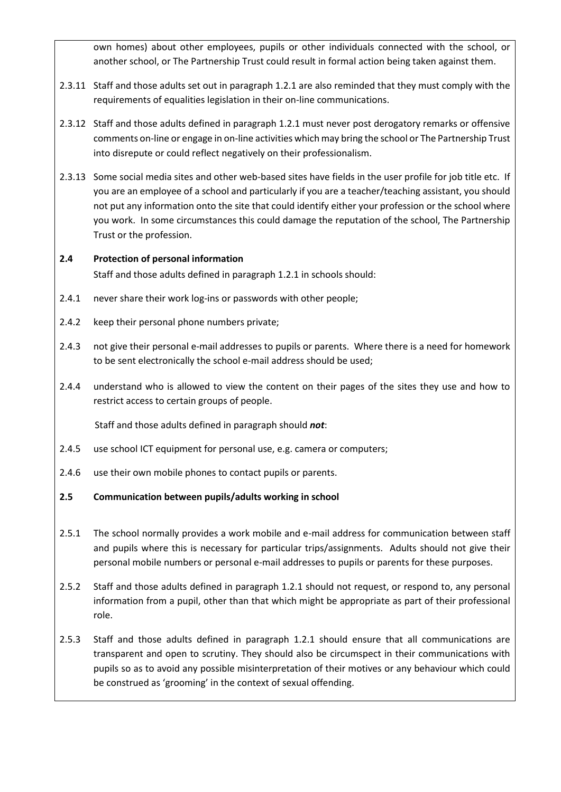own homes) about other employees, pupils or other individuals connected with the school, or another school, or The Partnership Trust could result in formal action being taken against them.

- 2.3.11 Staff and those adults set out in paragraph 1.2.1 are also reminded that they must comply with the requirements of equalities legislation in their on-line communications.
- 2.3.12 Staff and those adults defined in paragraph 1.2.1 must never post derogatory remarks or offensive comments on-line or engage in on-line activities which may bring the school or The Partnership Trust into disrepute or could reflect negatively on their professionalism.
- 2.3.13 Some social media sites and other web-based sites have fields in the user profile for job title etc. If you are an employee of a school and particularly if you are a teacher/teaching assistant, you should not put any information onto the site that could identify either your profession or the school where you work. In some circumstances this could damage the reputation of the school, The Partnership Trust or the profession.

## **2.4 Protection of personal information** Staff and those adults defined in paragraph 1.2.1 in schools should:

- 2.4.1 never share their work log-ins or passwords with other people;
- 2.4.2 keep their personal phone numbers private;
- 2.4.3 not give their personal e-mail addresses to pupils or parents. Where there is a need for homework to be sent electronically the school e-mail address should be used;
- 2.4.4 understand who is allowed to view the content on their pages of the sites they use and how to restrict access to certain groups of people.

Staff and those adults defined in paragraph should *not*:

- 2.4.5 use school ICT equipment for personal use, e.g. camera or computers;
- 2.4.6 use their own mobile phones to contact pupils or parents.
- **2.5 Communication between pupils/adults working in school**
- 2.5.1 The school normally provides a work mobile and e-mail address for communication between staff and pupils where this is necessary for particular trips/assignments. Adults should not give their personal mobile numbers or personal e-mail addresses to pupils or parents for these purposes.
- 2.5.2 Staff and those adults defined in paragraph 1.2.1 should not request, or respond to, any personal information from a pupil, other than that which might be appropriate as part of their professional role.
- 2.5.3 Staff and those adults defined in paragraph 1.2.1 should ensure that all communications are transparent and open to scrutiny. They should also be circumspect in their communications with pupils so as to avoid any possible misinterpretation of their motives or any behaviour which could be construed as 'grooming' in the context of sexual offending.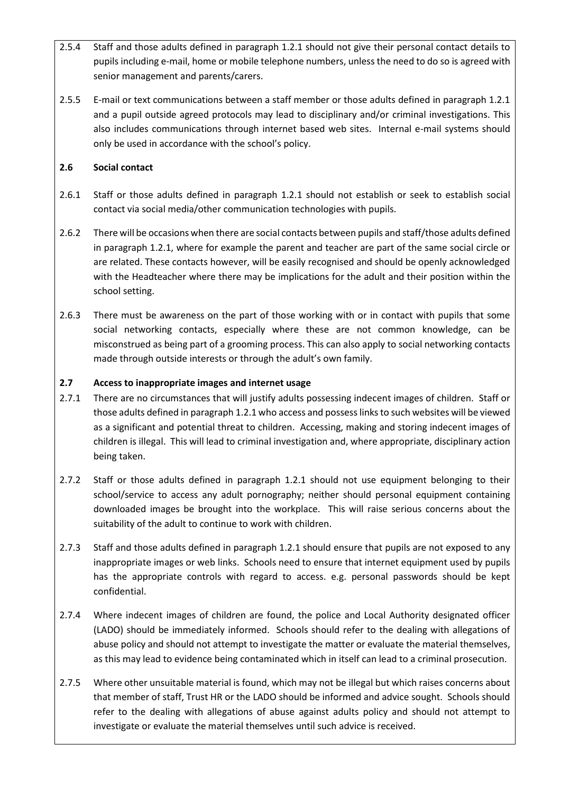- 2.5.4 Staff and those adults defined in paragraph 1.2.1 should not give their personal contact details to pupils including e-mail, home or mobile telephone numbers, unless the need to do so is agreed with senior management and parents/carers.
- 2.5.5 E-mail or text communications between a staff member or those adults defined in paragraph 1.2.1 and a pupil outside agreed protocols may lead to disciplinary and/or criminal investigations. This also includes communications through internet based web sites. Internal e-mail systems should only be used in accordance with the school's policy.

## **2.6 Social contact**

- 2.6.1 Staff or those adults defined in paragraph 1.2.1 should not establish or seek to establish social contact via social media/other communication technologies with pupils.
- 2.6.2 There will be occasions when there are social contacts between pupils and staff/those adults defined in paragraph 1.2.1, where for example the parent and teacher are part of the same social circle or are related. These contacts however, will be easily recognised and should be openly acknowledged with the Headteacher where there may be implications for the adult and their position within the school setting.
- 2.6.3 There must be awareness on the part of those working with or in contact with pupils that some social networking contacts, especially where these are not common knowledge, can be misconstrued as being part of a grooming process. This can also apply to social networking contacts made through outside interests or through the adult's own family.

#### **2.7 Access to inappropriate images and internet usage**

- 2.7.1 There are no circumstances that will justify adults possessing indecent images of children. Staff or those adults defined in paragraph 1.2.1 who access and possess links to such websites will be viewed as a significant and potential threat to children. Accessing, making and storing indecent images of children is illegal. This will lead to criminal investigation and, where appropriate, disciplinary action being taken.
- 2.7.2 Staff or those adults defined in paragraph 1.2.1 should not use equipment belonging to their school/service to access any adult pornography; neither should personal equipment containing downloaded images be brought into the workplace. This will raise serious concerns about the suitability of the adult to continue to work with children.
- 2.7.3 Staff and those adults defined in paragraph 1.2.1 should ensure that pupils are not exposed to any inappropriate images or web links. Schools need to ensure that internet equipment used by pupils has the appropriate controls with regard to access. e.g. personal passwords should be kept confidential.
- 2.7.4 Where indecent images of children are found, the police and Local Authority designated officer (LADO) should be immediately informed. Schools should refer to the dealing with allegations of abuse policy and should not attempt to investigate the matter or evaluate the material themselves, as this may lead to evidence being contaminated which in itself can lead to a criminal prosecution.
- 2.7.5 Where other unsuitable material is found, which may not be illegal but which raises concerns about that member of staff, Trust HR or the LADO should be informed and advice sought. Schools should refer to the dealing with allegations of abuse against adults policy and should not attempt to investigate or evaluate the material themselves until such advice is received.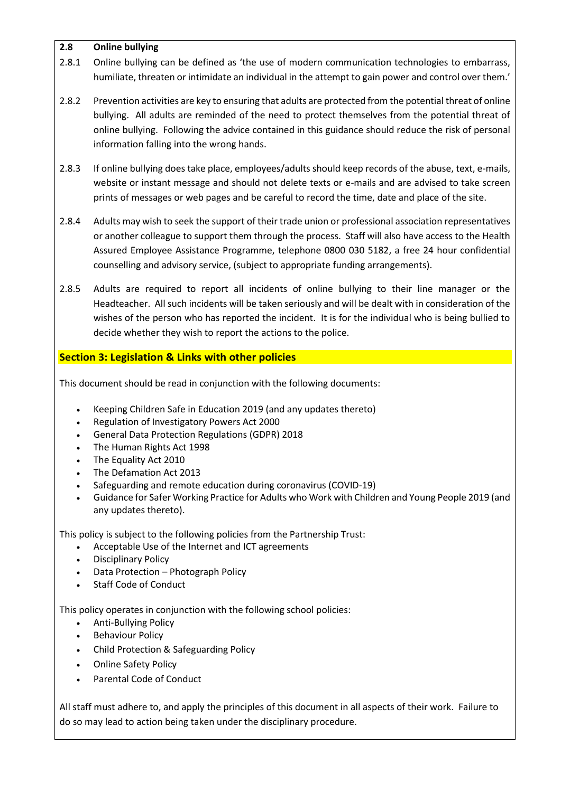## **2.8 Online bullying**

- 2.8.1 Online bullying can be defined as 'the use of modern communication technologies to embarrass, humiliate, threaten or intimidate an individual in the attempt to gain power and control over them.'
- 2.8.2 Prevention activities are key to ensuring that adults are protected from the potential threat of online bullying. All adults are reminded of the need to protect themselves from the potential threat of online bullying. Following the advice contained in this guidance should reduce the risk of personal information falling into the wrong hands.
- 2.8.3 If online bullying does take place, employees/adults should keep records of the abuse, text, e-mails, website or instant message and should not delete texts or e-mails and are advised to take screen prints of messages or web pages and be careful to record the time, date and place of the site.
- 2.8.4 Adults may wish to seek the support of their trade union or professional association representatives or another colleague to support them through the process. Staff will also have access to the Health Assured Employee Assistance Programme, telephone 0800 030 5182, a free 24 hour confidential counselling and advisory service, (subject to appropriate funding arrangements).
- 2.8.5 Adults are required to report all incidents of online bullying to their line manager or the Headteacher. All such incidents will be taken seriously and will be dealt with in consideration of the wishes of the person who has reported the incident. It is for the individual who is being bullied to decide whether they wish to report the actions to the police.

## **Section 3: Legislation & Links with other policies**

This document should be read in conjunction with the following documents:

- Keeping Children Safe in Education 2019 (and any updates thereto)
- Regulation of Investigatory Powers Act 2000
- General Data Protection Regulations (GDPR) 2018
- The Human Rights Act 1998
- The Equality Act 2010
- The Defamation Act 2013
- Safeguarding and remote education during coronavirus (COVID-19)
- Guidance for Safer Working Practice for Adults who Work with Children and Young People 2019 (and any updates thereto).

This policy is subject to the following policies from the Partnership Trust:

- Acceptable Use of the Internet and ICT agreements
- Disciplinary Policy
- Data Protection Photograph Policy
- Staff Code of Conduct

This policy operates in conjunction with the following school policies:

- Anti-Bullying Policy
- Behaviour Policy
- Child Protection & Safeguarding Policy
- Online Safety Policy
- Parental Code of Conduct

All staff must adhere to, and apply the principles of this document in all aspects of their work. Failure to do so may lead to action being taken under the disciplinary procedure.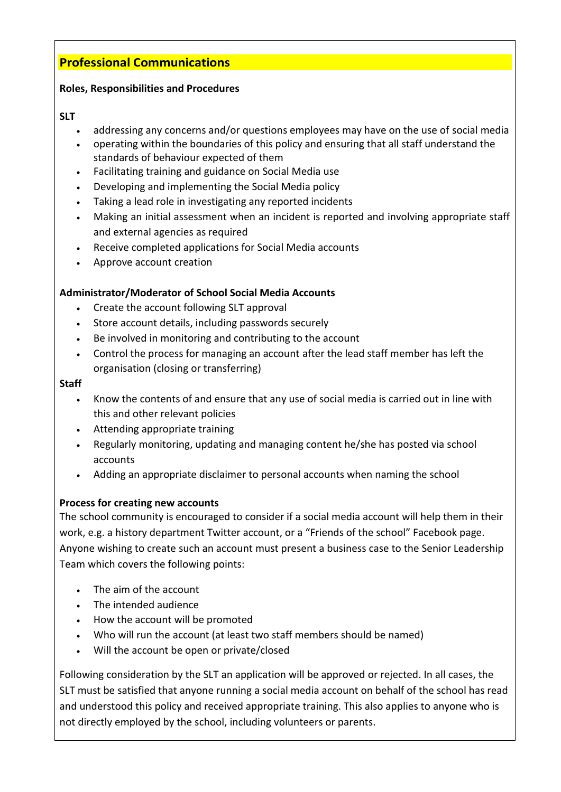## **Professional Communications**

## **Roles, Responsibilities and Procedures**

## **SLT**

- addressing any concerns and/or questions employees may have on the use of social media
- operating within the boundaries of this policy and ensuring that all staff understand the standards of behaviour expected of them
- Facilitating training and guidance on Social Media use
- Developing and implementing the Social Media policy
- Taking a lead role in investigating any reported incidents
- Making an initial assessment when an incident is reported and involving appropriate staff and external agencies as required
- Receive completed applications for Social Media accounts
- Approve account creation

## **Administrator/Moderator of School Social Media Accounts**

- Create the account following SLT approval
- Store account details, including passwords securely
- Be involved in monitoring and contributing to the account
- Control the process for managing an account after the lead staff member has left the organisation (closing or transferring)

#### **Staff**

- Know the contents of and ensure that any use of social media is carried out in line with this and other relevant policies
- Attending appropriate training
- Regularly monitoring, updating and managing content he/she has posted via school accounts
- Adding an appropriate disclaimer to personal accounts when naming the school

## **Process for creating new accounts**

The school community is encouraged to consider if a social media account will help them in their work, e.g. a history department Twitter account, or a "Friends of the school" Facebook page. Anyone wishing to create such an account must present a business case to the Senior Leadership Team which covers the following points:

- The aim of the account
- The intended audience
- How the account will be promoted
- Who will run the account (at least two staff members should be named)
- Will the account be open or private/closed

Following consideration by the SLT an application will be approved or rejected. In all cases, the SLT must be satisfied that anyone running a social media account on behalf of the school has read and understood this policy and received appropriate training. This also applies to anyone who is not directly employed by the school, including volunteers or parents.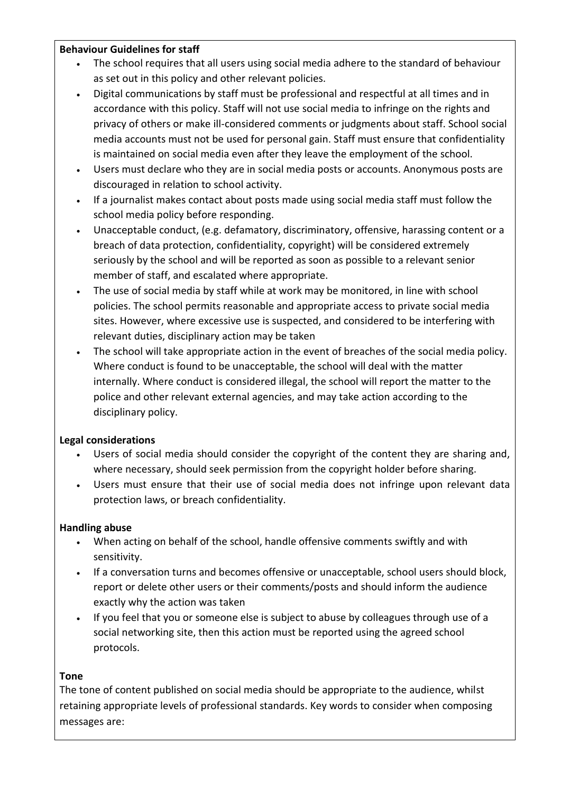## **Behaviour Guidelines for staff**

- The school requires that all users using social media adhere to the standard of behaviour as set out in this policy and other relevant policies.
- Digital communications by staff must be professional and respectful at all times and in accordance with this policy. Staff will not use social media to infringe on the rights and privacy of others or make ill-considered comments or judgments about staff. School social media accounts must not be used for personal gain. Staff must ensure that confidentiality is maintained on social media even after they leave the employment of the school.
- Users must declare who they are in social media posts or accounts. Anonymous posts are discouraged in relation to school activity.
- If a journalist makes contact about posts made using social media staff must follow the school media policy before responding.
- Unacceptable conduct, (e.g. defamatory, discriminatory, offensive, harassing content or a breach of data protection, confidentiality, copyright) will be considered extremely seriously by the school and will be reported as soon as possible to a relevant senior member of staff, and escalated where appropriate.
- The use of social media by staff while at work may be monitored, in line with school policies. The school permits reasonable and appropriate access to private social media sites. However, where excessive use is suspected, and considered to be interfering with relevant duties, disciplinary action may be taken
- The school will take appropriate action in the event of breaches of the social media policy. Where conduct is found to be unacceptable, the school will deal with the matter internally. Where conduct is considered illegal, the school will report the matter to the police and other relevant external agencies, and may take action according to the disciplinary policy.

## **Legal considerations**

- Users of social media should consider the copyright of the content they are sharing and, where necessary, should seek permission from the copyright holder before sharing.
- Users must ensure that their use of social media does not infringe upon relevant data protection laws, or breach confidentiality.

## **Handling abuse**

- When acting on behalf of the school, handle offensive comments swiftly and with sensitivity.
- If a conversation turns and becomes offensive or unacceptable, school users should block, report or delete other users or their comments/posts and should inform the audience exactly why the action was taken
- If you feel that you or someone else is subject to abuse by colleagues through use of a social networking site, then this action must be reported using the agreed school protocols.

## **Tone**

The tone of content published on social media should be appropriate to the audience, whilst retaining appropriate levels of professional standards. Key words to consider when composing messages are: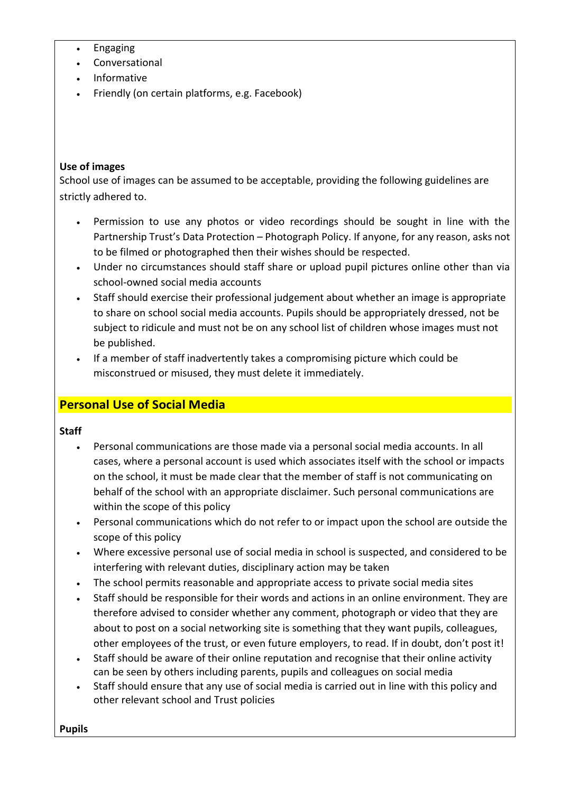- Engaging
- **Conversational**
- Informative
- Friendly (on certain platforms, e.g. Facebook)

## **Use of images**

School use of images can be assumed to be acceptable, providing the following guidelines are strictly adhered to.

- Permission to use any photos or video recordings should be sought in line with the Partnership Trust's Data Protection – Photograph Policy. If anyone, for any reason, asks not to be filmed or photographed then their wishes should be respected.
- Under no circumstances should staff share or upload pupil pictures online other than via school-owned social media accounts
- Staff should exercise their professional judgement about whether an image is appropriate to share on school social media accounts. Pupils should be appropriately dressed, not be subject to ridicule and must not be on any school list of children whose images must not be published.
- If a member of staff inadvertently takes a compromising picture which could be misconstrued or misused, they must delete it immediately.

## **Personal Use of Social Media**

## **Staff**

- Personal communications are those made via a personal social media accounts. In all cases, where a personal account is used which associates itself with the school or impacts on the school, it must be made clear that the member of staff is not communicating on behalf of the school with an appropriate disclaimer. Such personal communications are within the scope of this policy
- Personal communications which do not refer to or impact upon the school are outside the scope of this policy
- Where excessive personal use of social media in school is suspected, and considered to be interfering with relevant duties, disciplinary action may be taken
- The school permits reasonable and appropriate access to private social media sites
- Staff should be responsible for their words and actions in an online environment. They are therefore advised to consider whether any comment, photograph or video that they are about to post on a social networking site is something that they want pupils, colleagues, other employees of the trust, or even future employers, to read. If in doubt, don't post it!
- Staff should be aware of their online reputation and recognise that their online activity can be seen by others including parents, pupils and colleagues on social media
- Staff should ensure that any use of social media is carried out in line with this policy and other relevant school and Trust policies

**Pupils**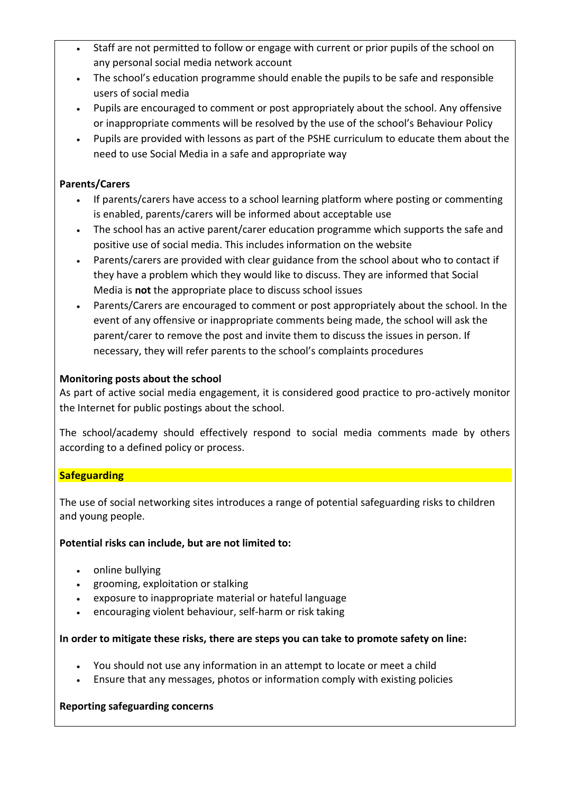- Staff are not permitted to follow or engage with current or prior pupils of the school on any personal social media network account
- The school's education programme should enable the pupils to be safe and responsible users of social media
- Pupils are encouraged to comment or post appropriately about the school. Any offensive or inappropriate comments will be resolved by the use of the school's Behaviour Policy
- Pupils are provided with lessons as part of the PSHE curriculum to educate them about the need to use Social Media in a safe and appropriate way

## **Parents/Carers**

- If parents/carers have access to a school learning platform where posting or commenting is enabled, parents/carers will be informed about acceptable use
- The school has an active parent/carer education programme which supports the safe and positive use of social media. This includes information on the website
- Parents/carers are provided with clear guidance from the school about who to contact if they have a problem which they would like to discuss. They are informed that Social Media is **not** the appropriate place to discuss school issues
- Parents/Carers are encouraged to comment or post appropriately about the school. In the event of any offensive or inappropriate comments being made, the school will ask the parent/carer to remove the post and invite them to discuss the issues in person. If necessary, they will refer parents to the school's complaints procedures

## **Monitoring posts about the school**

As part of active social media engagement, it is considered good practice to pro-actively monitor the Internet for public postings about the school.

The school/academy should effectively respond to social media comments made by others according to a defined policy or process.

## **Safeguarding**

The use of social networking sites introduces a range of potential safeguarding risks to children and young people.

## **Potential risks can include, but are not limited to:**

- online bullying
- grooming, exploitation or stalking
- exposure to inappropriate material or hateful language
- encouraging violent behaviour, self-harm or risk taking

## **In order to mitigate these risks, there are steps you can take to promote safety on line:**

- You should not use any information in an attempt to locate or meet a child
- Ensure that any messages, photos or information comply with existing policies

## **Reporting safeguarding concerns**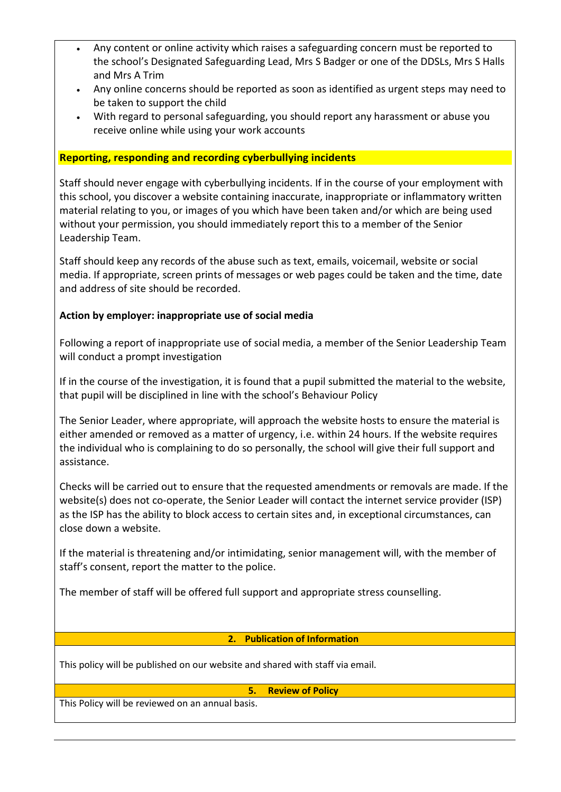- Any content or online activity which raises a safeguarding concern must be reported to the school's Designated Safeguarding Lead, Mrs S Badger or one of the DDSLs, Mrs S Halls and Mrs A Trim
- Any online concerns should be reported as soon as identified as urgent steps may need to be taken to support the child
- With regard to personal safeguarding, you should report any harassment or abuse you receive online while using your work accounts

#### **Reporting, responding and recording cyberbullying incidents**

Staff should never engage with cyberbullying incidents. If in the course of your employment with this school, you discover a website containing inaccurate, inappropriate or inflammatory written material relating to you, or images of you which have been taken and/or which are being used without your permission, you should immediately report this to a member of the Senior Leadership Team.

Staff should keep any records of the abuse such as text, emails, voicemail, website or social media. If appropriate, screen prints of messages or web pages could be taken and the time, date and address of site should be recorded.

## **Action by employer: inappropriate use of social media**

Following a report of inappropriate use of social media, a member of the Senior Leadership Team will conduct a prompt investigation

If in the course of the investigation, it is found that a pupil submitted the material to the website, that pupil will be disciplined in line with the school's Behaviour Policy

The Senior Leader, where appropriate, will approach the website hosts to ensure the material is either amended or removed as a matter of urgency, i.e. within 24 hours. If the website requires the individual who is complaining to do so personally, the school will give their full support and assistance.

Checks will be carried out to ensure that the requested amendments or removals are made. If the website(s) does not co-operate, the Senior Leader will contact the internet service provider (ISP) as the ISP has the ability to block access to certain sites and, in exceptional circumstances, can close down a website.

If the material is threatening and/or intimidating, senior management will, with the member of staff's consent, report the matter to the police.

The member of staff will be offered full support and appropriate stress counselling.

#### **2. Publication of Information**

This policy will be published on our website and shared with staff via email.

#### **5. Review of Policy**

This Policy will be reviewed on an annual basis.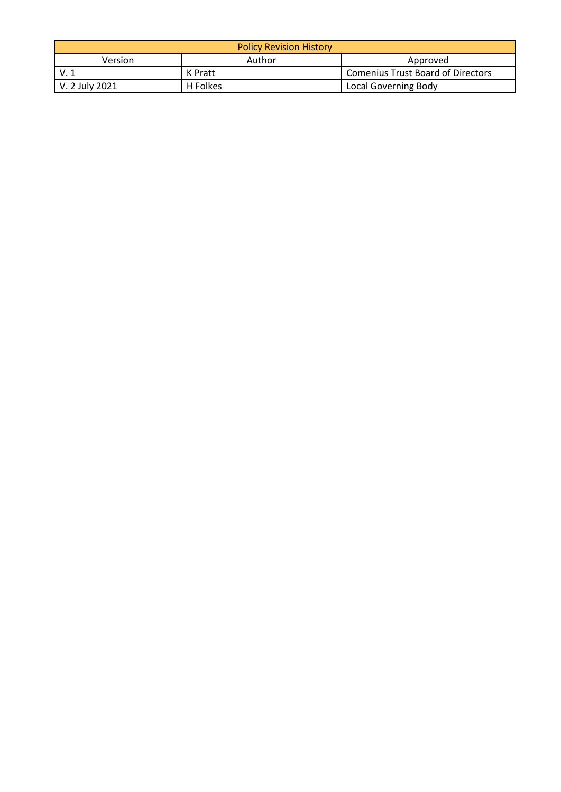| <b>Policy Revision History</b> |          |                                          |  |
|--------------------------------|----------|------------------------------------------|--|
| <b>Version</b>                 | Author   | Approved                                 |  |
|                                | K Pratt  | <b>Comenius Trust Board of Directors</b> |  |
| V. 2 July 2021                 | H Folkes | Local Governing Body                     |  |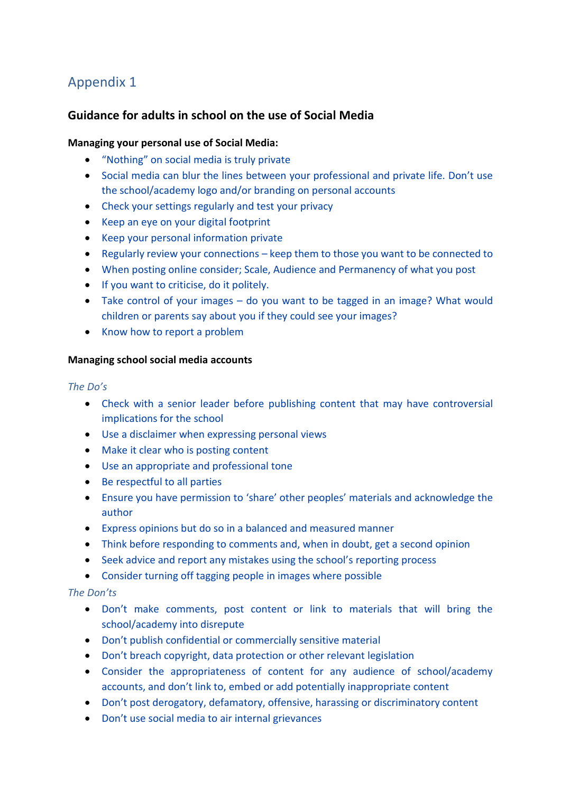## Appendix 1

## **Guidance for adults in school on the use of Social Media**

## **Managing your personal use of Social Media:**

- "Nothing" on social media is truly private
- Social media can blur the lines between your professional and private life. Don't use the school/academy logo and/or branding on personal accounts
- Check your settings regularly and test your privacy
- Keep an eye on your digital footprint
- Keep your personal information private
- Regularly review your connections keep them to those you want to be connected to
- When posting online consider; Scale, Audience and Permanency of what you post
- If you want to criticise, do it politely.
- Take control of your images do you want to be tagged in an image? What would children or parents say about you if they could see your images?
- Know how to report a problem

#### **Managing school social media accounts**

#### *The Do's*

- Check with a senior leader before publishing content that may have controversial implications for the school
- Use a disclaimer when expressing personal views
- Make it clear who is posting content
- Use an appropriate and professional tone
- Be respectful to all parties
- Ensure you have permission to 'share' other peoples' materials and acknowledge the author
- Express opinions but do so in a balanced and measured manner
- Think before responding to comments and, when in doubt, get a second opinion
- Seek advice and report any mistakes using the school's reporting process
- Consider turning off tagging people in images where possible

#### *The Don'ts*

- Don't make comments, post content or link to materials that will bring the school/academy into disrepute
- Don't publish confidential or commercially sensitive material
- Don't breach copyright, data protection or other relevant legislation
- Consider the appropriateness of content for any audience of school/academy accounts, and don't link to, embed or add potentially inappropriate content
- Don't post derogatory, defamatory, offensive, harassing or discriminatory content
- Don't use social media to air internal grievances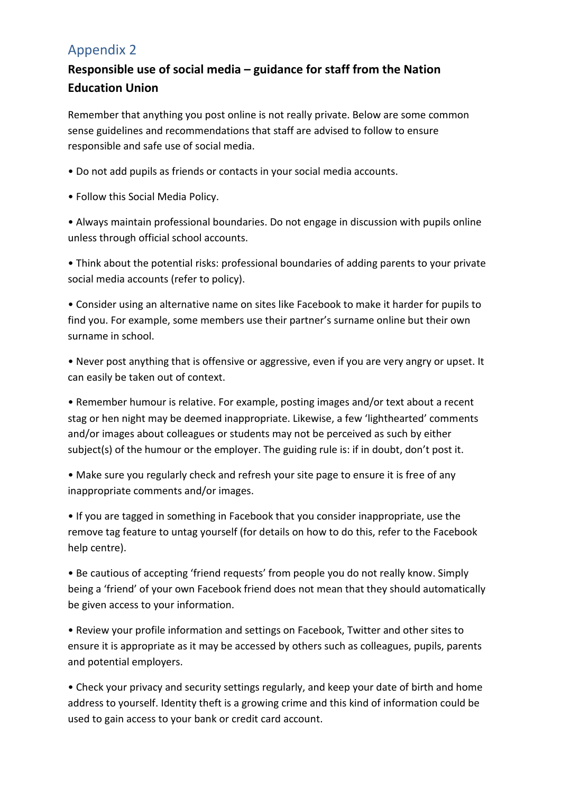## Appendix 2

## **Responsible use of social media – guidance for staff from the Nation Education Union**

Remember that anything you post online is not really private. Below are some common sense guidelines and recommendations that staff are advised to follow to ensure responsible and safe use of social media.

- Do not add pupils as friends or contacts in your social media accounts.
- Follow this Social Media Policy.

• Always maintain professional boundaries. Do not engage in discussion with pupils online unless through official school accounts.

• Think about the potential risks: professional boundaries of adding parents to your private social media accounts (refer to policy).

• Consider using an alternative name on sites like Facebook to make it harder for pupils to find you. For example, some members use their partner's surname online but their own surname in school.

• Never post anything that is offensive or aggressive, even if you are very angry or upset. It can easily be taken out of context.

• Remember humour is relative. For example, posting images and/or text about a recent stag or hen night may be deemed inappropriate. Likewise, a few 'lighthearted' comments and/or images about colleagues or students may not be perceived as such by either subject(s) of the humour or the employer. The guiding rule is: if in doubt, don't post it.

• Make sure you regularly check and refresh your site page to ensure it is free of any inappropriate comments and/or images.

• If you are tagged in something in Facebook that you consider inappropriate, use the remove tag feature to untag yourself (for details on how to do this, refer to the Facebook help centre).

• Be cautious of accepting 'friend requests' from people you do not really know. Simply being a 'friend' of your own Facebook friend does not mean that they should automatically be given access to your information.

• Review your profile information and settings on Facebook, Twitter and other sites to ensure it is appropriate as it may be accessed by others such as colleagues, pupils, parents and potential employers.

• Check your privacy and security settings regularly, and keep your date of birth and home address to yourself. Identity theft is a growing crime and this kind of information could be used to gain access to your bank or credit card account.